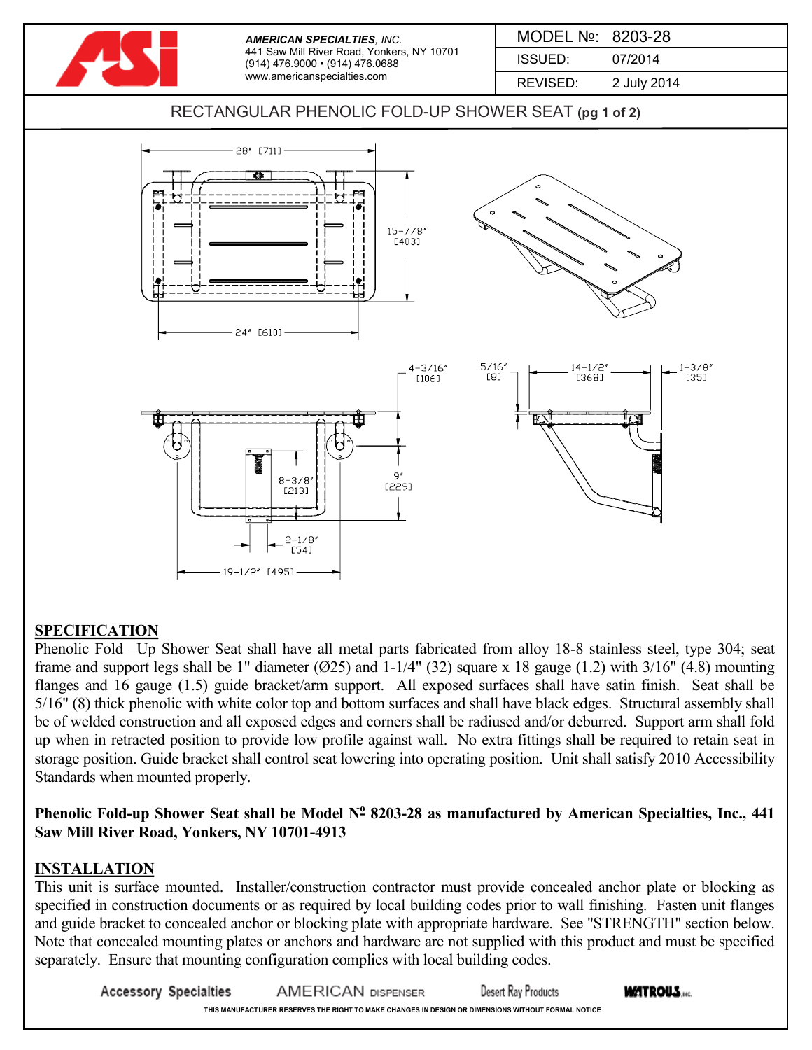

## **SPECIFICATION**

Phenolic Fold –Up Shower Seat shall have all metal parts fabricated from alloy 18-8 stainless steel, type 304; seat frame and support legs shall be 1" diameter  $(025)$  and 1-1/4"  $(32)$  square x 18 gauge  $(1.2)$  with  $3/16$ "  $(4.8)$  mounting flanges and 16 gauge (1.5) guide bracket/arm support. All exposed surfaces shall have satin finish. Seat shall be 5/16" (8) thick phenolic with white color top and bottom surfaces and shall have black edges. Structural assembly shall be of welded construction and all exposed edges and corners shall be radiused and/or deburred. Support arm shall fold up when in retracted position to provide low profile against wall. No extra fittings shall be required to retain seat in storage position. Guide bracket shall control seat lowering into operating position. Unit shall satisfy 2010 Accessibility Standards when mounted properly.

## **Phenolic Fold-up Shower Seat shall be Model N<sup>o</sup> 8203-28 as manufactured by American Specialties, Inc., 441 Saw Mill River Road, Yonkers, NY 10701-4913**

## **INSTALLATION**

This unit is surface mounted. Installer/construction contractor must provide concealed anchor plate or blocking as specified in construction documents or as required by local building codes prior to wall finishing. Fasten unit flanges and guide bracket to concealed anchor or blocking plate with appropriate hardware. See "STRENGTH" section below. Note that concealed mounting plates or anchors and hardware are not supplied with this product and must be specified separately. Ensure that mounting configuration complies with local building codes.

**Accessory Specialties WATROUS. AMERICAN DISPENSER** Desert Ray Products **THIS MANUFACTURER RESERVES THE RIGHT TO MAKE CHANGES IN DESIGN OR DIMENSIONS WITHOUT FORMAL NOTICE**